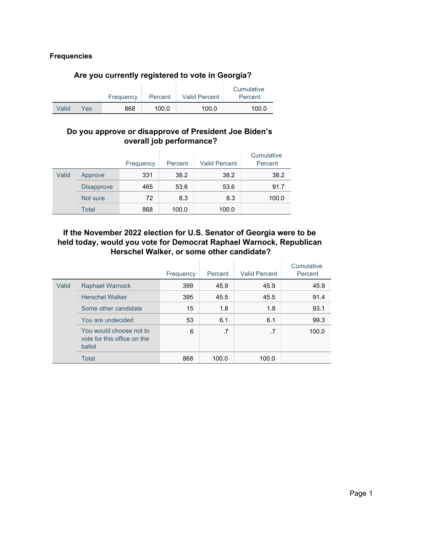#### **Frequencies**

#### **Are you currently registered to vote in Georgia?**

|       |     |           |         |                      | Cumulative |
|-------|-----|-----------|---------|----------------------|------------|
|       |     | Frequency | Percent | <b>Valid Percent</b> | Percent    |
| Valid | Yes | 868       | 100.0   | 100.0                | 100.0      |

#### **Do you approve or disapprove of President Joe Biden's overall job performance?**

|       |                   | Frequency | Percent | <b>Valid Percent</b> | Cumulative<br>Percent |
|-------|-------------------|-----------|---------|----------------------|-----------------------|
| Valid | Approve           | 331       | 38.2    | 38.2                 | 38.2                  |
|       | <b>Disapprove</b> | 465       | 53.6    | 53.6                 | 91.7                  |
|       | Not sure          | 72        | 8.3     | 8.3                  | 100.0                 |
|       | Total             | 868       | 100.0   | 100.0                |                       |

#### **If the November 2022 election for U.S. Senator of Georgia were to be held today, would you vote for Democrat Raphael Warnock, Republican Herschel Walker, or some other candidate?**

|       |                                                                  | Frequency | Percent | <b>Valid Percent</b> | Cumulative<br>Percent |
|-------|------------------------------------------------------------------|-----------|---------|----------------------|-----------------------|
| Valid | <b>Raphael Warnock</b>                                           | 399       | 45.9    | 45.9                 | 45.9                  |
|       | <b>Herschel Walker</b>                                           | 395       | 45.5    | 45.5                 | 91.4                  |
|       | Some other candidate                                             | 15        | 1.8     | 1.8                  | 93.1                  |
|       | You are undecided                                                | 53        | 6.1     | 6.1                  | 99.3                  |
|       | You would choose not to<br>vote for this office on the<br>ballot | 6         | .7      | .7                   | 100.0                 |
|       | <b>Total</b>                                                     | 868       | 100.0   | 100.0                |                       |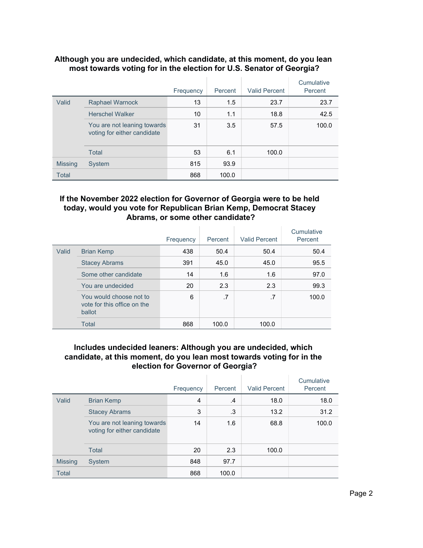#### **Although you are undecided, which candidate, at this moment, do you lean most towards voting for in the election for U.S. Senator of Georgia?**

|                |                                                            | Frequency | Percent | <b>Valid Percent</b> | Cumulative<br>Percent |
|----------------|------------------------------------------------------------|-----------|---------|----------------------|-----------------------|
| Valid          | <b>Raphael Warnock</b>                                     | 13        | 1.5     | 23.7                 | 23.7                  |
|                | <b>Herschel Walker</b>                                     | 10        | 1.1     | 18.8                 | 42.5                  |
|                | You are not leaning towards<br>voting for either candidate | 31        | 3.5     | 57.5                 | 100.0                 |
|                | Total                                                      | 53        | 6.1     | 100.0                |                       |
| <b>Missing</b> | System                                                     | 815       | 93.9    |                      |                       |
| <b>Total</b>   |                                                            | 868       | 100.0   |                      |                       |

#### **If the November 2022 election for Governor of Georgia were to be held today, would you vote for Republican Brian Kemp, Democrat Stacey Abrams, or some other candidate?**

|       |                                                                  | Frequency | Percent | <b>Valid Percent</b> | Cumulative<br>Percent |
|-------|------------------------------------------------------------------|-----------|---------|----------------------|-----------------------|
| Valid | <b>Brian Kemp</b>                                                | 438       | 50.4    | 50.4                 | 50.4                  |
|       | <b>Stacey Abrams</b>                                             | 391       | 45.0    | 45.0                 | 95.5                  |
|       | Some other candidate                                             | 14        | 1.6     | 1.6                  | 97.0                  |
|       | You are undecided                                                | 20        | 2.3     | 2.3                  | 99.3                  |
|       | You would choose not to<br>vote for this office on the<br>ballot | 6         | .7      | .7                   | 100.0                 |
|       | Total                                                            | 868       | 100.0   | 100.0                |                       |

#### **Includes undecided leaners: Although you are undecided, which candidate, at this moment, do you lean most towards voting for in the election for Governor of Georgia?**

|                |                                                            | Frequency | Percent       | <b>Valid Percent</b> | Cumulative<br>Percent |
|----------------|------------------------------------------------------------|-----------|---------------|----------------------|-----------------------|
| Valid          | <b>Brian Kemp</b>                                          | 4         | $\mathcal{A}$ | 18.0                 | 18.0                  |
|                | <b>Stacey Abrams</b>                                       | 3         | .3            | 13.2                 | 31.2                  |
|                | You are not leaning towards<br>voting for either candidate | 14        | 1.6           | 68.8                 | 100.0                 |
|                | <b>Total</b>                                               | 20        | 2.3           | 100.0                |                       |
| <b>Missing</b> | System                                                     | 848       | 97.7          |                      |                       |
| <b>Total</b>   |                                                            | 868       | 100.0         |                      |                       |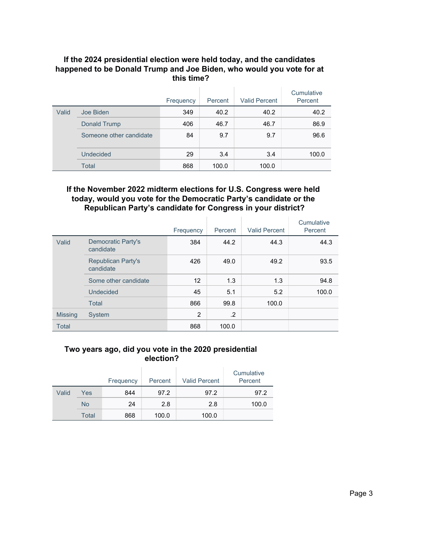#### **If the 2024 presidential election were held today, and the candidates happened to be Donald Trump and Joe Biden, who would you vote for at this time?**

|       |                         | Frequency | Percent | <b>Valid Percent</b> | Cumulative<br>Percent |
|-------|-------------------------|-----------|---------|----------------------|-----------------------|
| Valid | Joe Biden               | 349       | 40.2    | 40.2                 | 40.2                  |
|       | Donald Trump            | 406       | 46.7    | 46.7                 | 86.9                  |
|       | Someone other candidate | 84        | 9.7     | 9.7                  | 96.6                  |
|       | Undecided               | 29        | 3.4     | 3.4                  | 100.0                 |
|       | Total                   | 868       | 100.0   | 100.0                |                       |

#### **If the November 2022 midterm elections for U.S. Congress were held today, would you vote for the Democratic Party's candidate or the Republican Party's candidate for Congress in your district?**

|                |                                        | Frequency      | Percent | <b>Valid Percent</b> | Cumulative<br>Percent |
|----------------|----------------------------------------|----------------|---------|----------------------|-----------------------|
| Valid          | <b>Democratic Party's</b><br>candidate | 384            | 44.2    | 44.3                 | 44.3                  |
|                | <b>Republican Party's</b><br>candidate | 426            | 49.0    | 49.2                 | 93.5                  |
|                | Some other candidate                   | 12             | 1.3     | 1.3                  | 94.8                  |
|                | Undecided                              | 45             | 5.1     | 5.2                  | 100.0                 |
|                | <b>Total</b>                           | 866            | 99.8    | 100.0                |                       |
| <b>Missing</b> | System                                 | $\overline{2}$ | $\cdot$ |                      |                       |
| <b>Total</b>   |                                        | 868            | 100.0   |                      |                       |

#### **Two years ago, did you vote in the 2020 presidential election?**

|       |           | Frequency | Percent | <b>Valid Percent</b> | Cumulative<br>Percent |
|-------|-----------|-----------|---------|----------------------|-----------------------|
| Valid | Yes       | 844       | 97.2    | 97.2                 | 97.2                  |
|       | <b>No</b> | 24        | 2.8     | 2.8                  | 100.0                 |
|       | Total     | 868       | 100.0   | 100.0                |                       |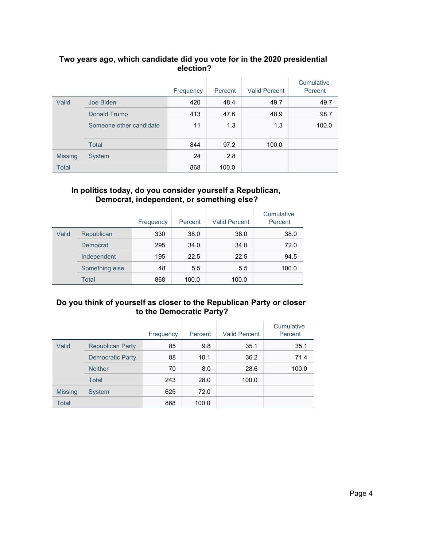## **Two years ago, which candidate did you vote for in the 2020 presidential election?**

|                |                         | Frequency | Percent | <b>Valid Percent</b> | Cumulative<br>Percent |
|----------------|-------------------------|-----------|---------|----------------------|-----------------------|
| Valid          | Joe Biden               | 420       | 48.4    | 49.7                 | 49.7                  |
|                | Donald Trump            | 413       | 47.6    | 48.9                 | 98.7                  |
|                | Someone other candidate | 11        | 1.3     | 1.3                  | 100.0                 |
|                | <b>Total</b>            | 844       | 97.2    | 100.0                |                       |
| <b>Missing</b> | System                  | 24        | 2.8     |                      |                       |
| Total          |                         | 868       | 100.0   |                      |                       |

#### **In politics today, do you consider yourself a Republican, Democrat, independent, or something else?**

|       |                | Frequency | Percent | <b>Valid Percent</b> | Cumulative<br>Percent |
|-------|----------------|-----------|---------|----------------------|-----------------------|
| Valid | Republican     | 330       | 38.0    | 38.0                 | 38.0                  |
|       | Democrat       | 295       | 34.0    | 34.0                 | 72.0                  |
|       | Independent    | 195       | 22.5    | 22.5                 | 94.5                  |
|       | Something else | 48        | 5.5     | 5.5                  | 100.0                 |
|       | <b>Total</b>   | 868       | 100.0   | 100.0                |                       |

### **Do you think of yourself as closer to the Republican Party or closer to the Democratic Party?**

|                |                         | Frequency | Percent | <b>Valid Percent</b> | Cumulative<br>Percent |
|----------------|-------------------------|-----------|---------|----------------------|-----------------------|
| Valid          | <b>Republican Party</b> | 85        | 9.8     | 35.1                 | 35.1                  |
|                | <b>Democratic Party</b> | 88        | 10.1    | 36.2                 | 71.4                  |
|                | <b>Neither</b>          | 70        | 8.0     | 28.6                 | 100.0                 |
|                | Total                   | 243       | 28.0    | 100.0                |                       |
| <b>Missing</b> | System                  | 625       | 72.0    |                      |                       |
| Total          |                         | 868       | 100.0   |                      |                       |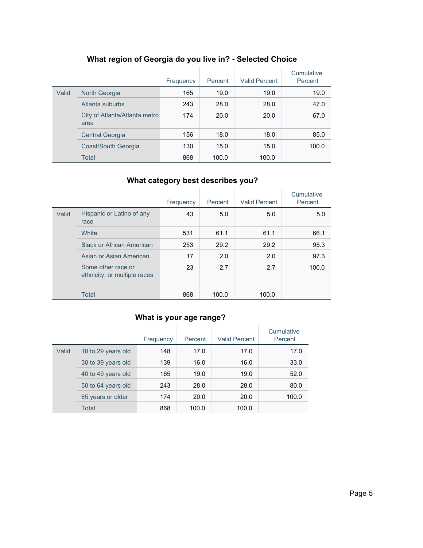|       |                                       | Frequency | Percent | <b>Valid Percent</b> | Cumulative<br>Percent |
|-------|---------------------------------------|-----------|---------|----------------------|-----------------------|
| Valid | North Georgia                         | 165       | 19.0    | 19.0                 | 19.0                  |
|       | Atlanta suburbs                       | 243       | 28.0    | 28.0                 | 47.0                  |
|       | City of Atlanta/Atlanta metro<br>area | 174       | 20.0    | 20.0                 | 67.0                  |
|       | <b>Central Georgia</b>                | 156       | 18.0    | 18.0                 | 85.0                  |
|       | Coast/South Georgia                   | 130       | 15.0    | 15.0                 | 100.0                 |
|       | Total                                 | 868       | 100.0   | 100.0                |                       |

# **What region of Georgia do you live in? - Selected Choice**

# **What category best describes you?**

|       |                                                    | Frequency | Percent | <b>Valid Percent</b> | Cumulative<br>Percent |
|-------|----------------------------------------------------|-----------|---------|----------------------|-----------------------|
| Valid | Hispanic or Latino of any<br>race                  | 43        | 5.0     | 5.0                  | 5.0                   |
|       | White                                              | 531       | 61.1    | 61.1                 | 66.1                  |
|       | <b>Black or African American</b>                   | 253       | 29.2    | 29.2                 | 95.3                  |
|       | Asian or Asian American                            | 17        | 2.0     | 2.0                  | 97.3                  |
|       | Some other race or<br>ethnicity, or multiple races | 23        | 2.7     | 2.7                  | 100.0                 |
|       | <b>Total</b>                                       | 868       | 100.0   | 100.0                |                       |

# **What is your age range?**

|       |                    | Frequency | Percent | <b>Valid Percent</b> | Cumulative<br>Percent |
|-------|--------------------|-----------|---------|----------------------|-----------------------|
| Valid | 18 to 29 years old | 148       | 17.0    | 17.0                 | 17.0                  |
|       | 30 to 39 years old | 139       | 16.0    | 16.0                 | 33.0                  |
|       | 40 to 49 years old | 165       | 19.0    | 19.0                 | 52.0                  |
|       | 50 to 64 years old | 243       | 28.0    | 28.0                 | 80.0                  |
|       | 65 years or older  | 174       | 20.0    | 20.0                 | 100.0                 |
|       | Total              | 868       | 100.0   | 100.0                |                       |